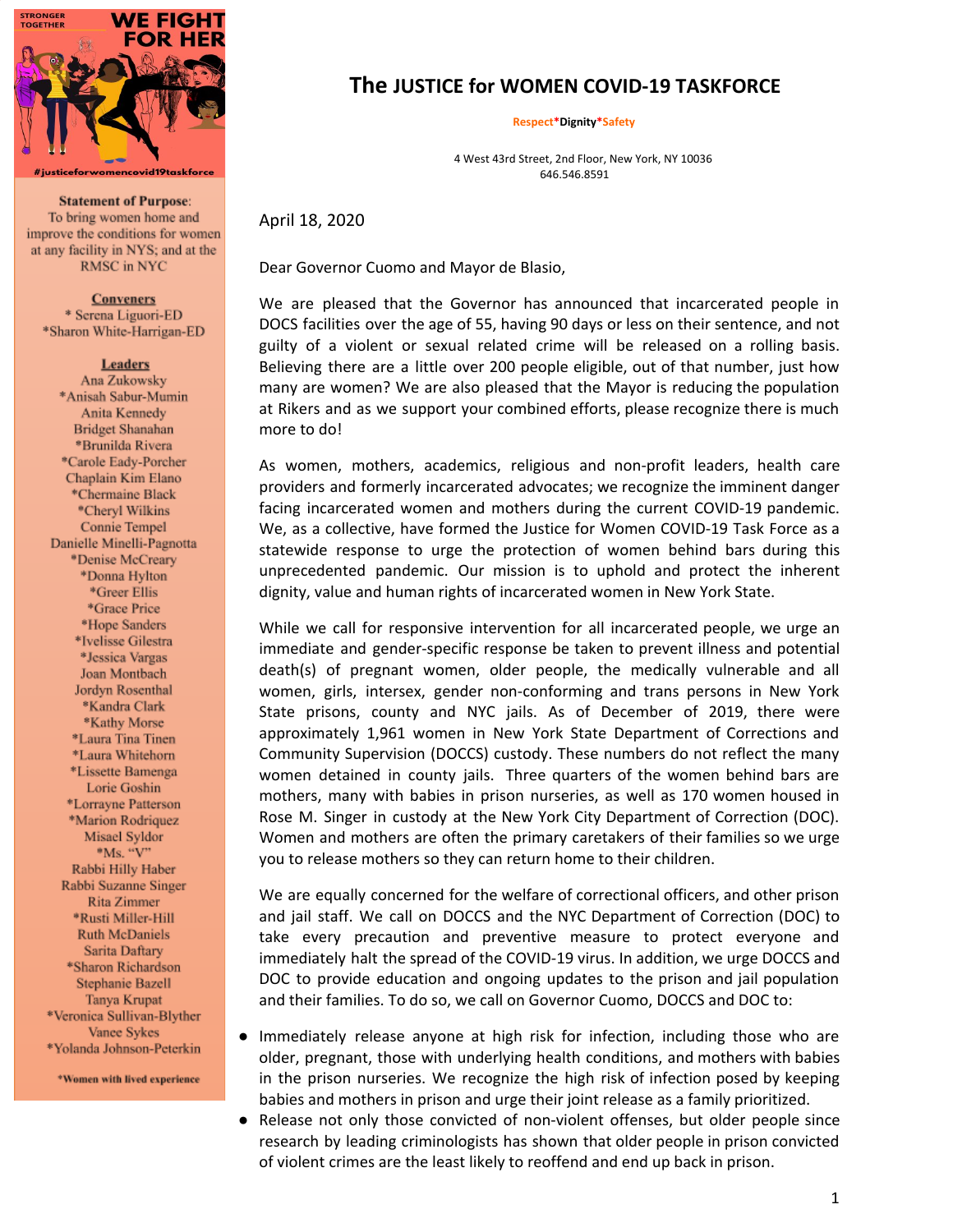

**Statement of Purpose:** To bring women home and improve the conditions for women at any facility in NYS; and at the RMSC in NYC

**Conveners** \* Serena Liguori-ED \*Sharon White-Harrigan-ED

**Leaders** 

Ana Zukowsky \*Anisah Sabur-Mumin Anita Kennedy **Bridget Shanahan** \*Brunilda Rivera \*Carole Eady-Porcher Chaplain Kim Elano \*Chermaine Black \*Cheryl Wilkins Connie Tempel Danielle Minelli-Pagnotta \*Denise McCreary \*Donna Hylton \*Greer Ellis \*Grace Price \*Hope Sanders \*Ivelisse Gilestra \*Jessica Vargas Joan Montbach Jordyn Rosenthal \*Kandra Clark \*Kathy Morse \*Laura Tina Tinen \*Laura Whitehorn \*Lissette Bamenga Lorie Goshin \*Lorrayne Patterson \*Marion Rodriquez Misael Syldor  $^{\circ}$ Ms. "V" Rabbi Hilly Haber Rabbi Suzanne Singer Rita Zimmer \*Rusti Miller-Hill Ruth McDaniels Sarita Daftary \*Sharon Richardson Stephanie Bazell Tanya Krupat \*Veronica Sullivan-Blyther Vance Sykes \*Yolanda Johnson-Peterkin

\*Women with lived experience

# **The JUSTICE for WOMEN COVID-19 TASKFORCE**

**Respect\*Dignity\*Safety**

4 West 43rd Street, 2nd Floor, New York, NY 10036 646.546.8591

April 18, 2020

Dear Governor Cuomo and Mayor de Blasio,

We are pleased that the Governor has announced that incarcerated people in DOCS facilities over the age of 55, having 90 days or less on their sentence, and not guilty of a violent or sexual related crime will be released on a rolling basis. Believing there are a little over 200 people eligible, out of that number, just how many are women? We are also pleased that the Mayor is reducing the population at Rikers and as we support your combined efforts, please recognize there is much more to do!

As women, mothers, academics, religious and non-profit leaders, health care providers and formerly incarcerated advocates; we recognize the imminent danger facing incarcerated women and mothers during the current COVID-19 pandemic. We, as a collective, have formed the Justice for Women COVID-19 Task Force as a statewide response to urge the protection of women behind bars during this unprecedented pandemic. Our mission is to uphold and protect the inherent dignity, value and human rights of incarcerated women in New York State.

While we call for responsive intervention for all incarcerated people, we urge an immediate and gender-specific response be taken to prevent illness and potential death(s) of pregnant women, older people, the medically vulnerable and all women, girls, intersex, gender non-conforming and trans persons in New York State prisons, county and NYC jails. As of December of 2019, there were approximately 1,961 women in New York State Department of Corrections and Community Supervision (DOCCS) custody. These numbers do not reflect the many women detained in county jails. Three quarters of the women behind bars are mothers, many with babies in prison nurseries, as well as 170 women housed in Rose M. Singer in custody at the New York City Department of Correction (DOC). Women and mothers are often the primary caretakers of their families so we urge you to release mothers so they can return home to their children.

We are equally concerned for the welfare of correctional officers, and other prison and jail staff. We call on DOCCS and the NYC Department of Correction (DOC) to take every precaution and preventive measure to protect everyone and immediately halt the spread of the COVID-19 virus. In addition, we urge DOCCS and DOC to provide education and ongoing updates to the prison and jail population and their families. To do so, we call on Governor Cuomo, DOCCS and DOC to:

- Immediately release anyone at high risk for infection, including those who are older, pregnant, those with underlying health conditions, and mothers with babies in the prison nurseries. We recognize the high risk of infection posed by keeping babies and mothers in prison and urge their joint release as a family prioritized.
- Release not only those convicted of non-violent offenses, but older people since research by leading criminologists has shown that older people in prison convicted of violent crimes are the least likely to reoffend and end up back in prison.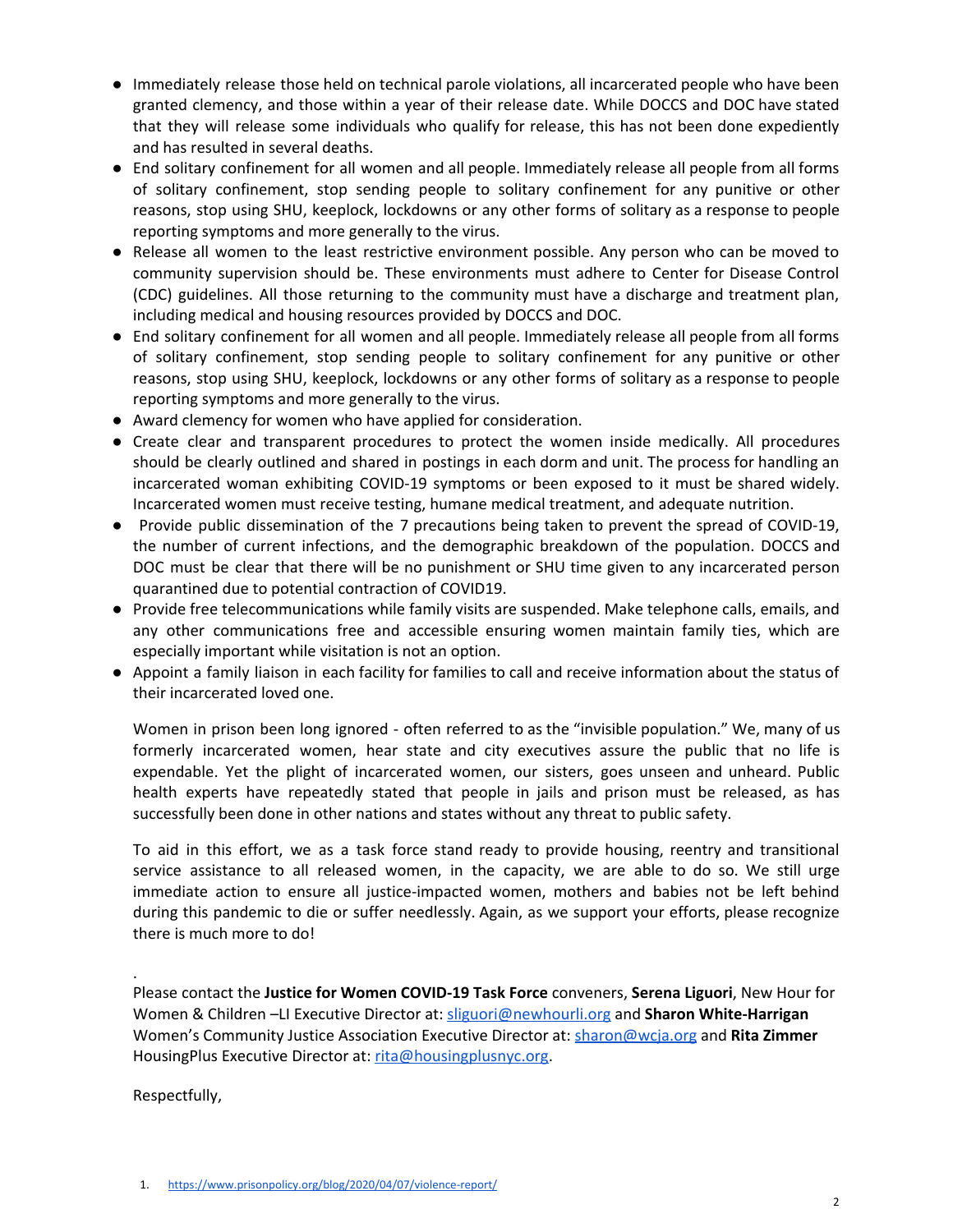- Immediately release those held on technical parole violations, all incarcerated people who have been granted clemency, and those within a year of their release date. While DOCCS and DOC have stated that they will release some individuals who qualify for release, this has not been done expediently and has resulted in several deaths.
- End solitary confinement for all women and all people. Immediately release all people from all forms of solitary confinement, stop sending people to solitary confinement for any punitive or other reasons, stop using SHU, keeplock, lockdowns or any other forms of solitary as a response to people reporting symptoms and more generally to the virus.
- Release all women to the least restrictive environment possible. Any person who can be moved to community supervision should be. These environments must adhere to Center for Disease Control (CDC) guidelines. All those returning to the community must have a discharge and treatment plan, including medical and housing resources provided by DOCCS and DOC.
- End solitary confinement for all women and all people. Immediately release all people from all forms of solitary confinement, stop sending people to solitary confinement for any punitive or other reasons, stop using SHU, keeplock, lockdowns or any other forms of solitary as a response to people reporting symptoms and more generally to the virus.
- Award clemency for women who have applied for consideration.
- Create clear and transparent procedures to protect the women inside medically. All procedures should be clearly outlined and shared in postings in each dorm and unit. The process for handling an incarcerated woman exhibiting COVID-19 symptoms or been exposed to it must be shared widely. Incarcerated women must receive testing, humane medical treatment, and adequate nutrition.
- Provide public dissemination of the 7 precautions being taken to prevent the spread of COVID-19, the number of current infections, and the demographic breakdown of the population. DOCCS and DOC must be clear that there will be no punishment or SHU time given to any incarcerated person quarantined due to potential contraction of COVID19.
- Provide free telecommunications while family visits are suspended. Make telephone calls, emails, and any other communications free and accessible ensuring women maintain family ties, which are especially important while visitation is not an option.
- Appoint a family liaison in each facility for families to call and receive information about the status of their incarcerated loved one.

Women in prison been long ignored - often referred to as the "invisible population." We, many of us formerly incarcerated women, hear state and city executives assure the public that no life is expendable. Yet the plight of incarcerated women, our sisters, goes unseen and unheard. Public health experts have repeatedly stated that people in jails and prison must be released, as has successfully been done in other nations and states without any threat to public safety.

To aid in this effort, we as a task force stand ready to provide housing, reentry and transitional service assistance to all released women, in the capacity, we are able to do so. We still urge immediate action to ensure all justice-impacted women, mothers and babies not be left behind during this pandemic to die or suffer needlessly. Again, as we support your efforts, please recognize there is much more to do!

Please contact the **Justice for Women COVID-19 Task Force** conveners, **Serena Liguori**, New Hour for Women & Children –LI Executive Director at: [sliguori@newhourli.org](mailto:sliguori@newhourli.org) and **Sharon White-Harrigan** Women's Community Justice Association Executive Director at: [sharon@wcja.org](mailto:sharon@wcja.org) and **Rita Zimmer** HousingPlus Executive Director at: [rita@housingplusnyc.org](mailto:directorrita@housingplusnyc.org).

Respectfully,

.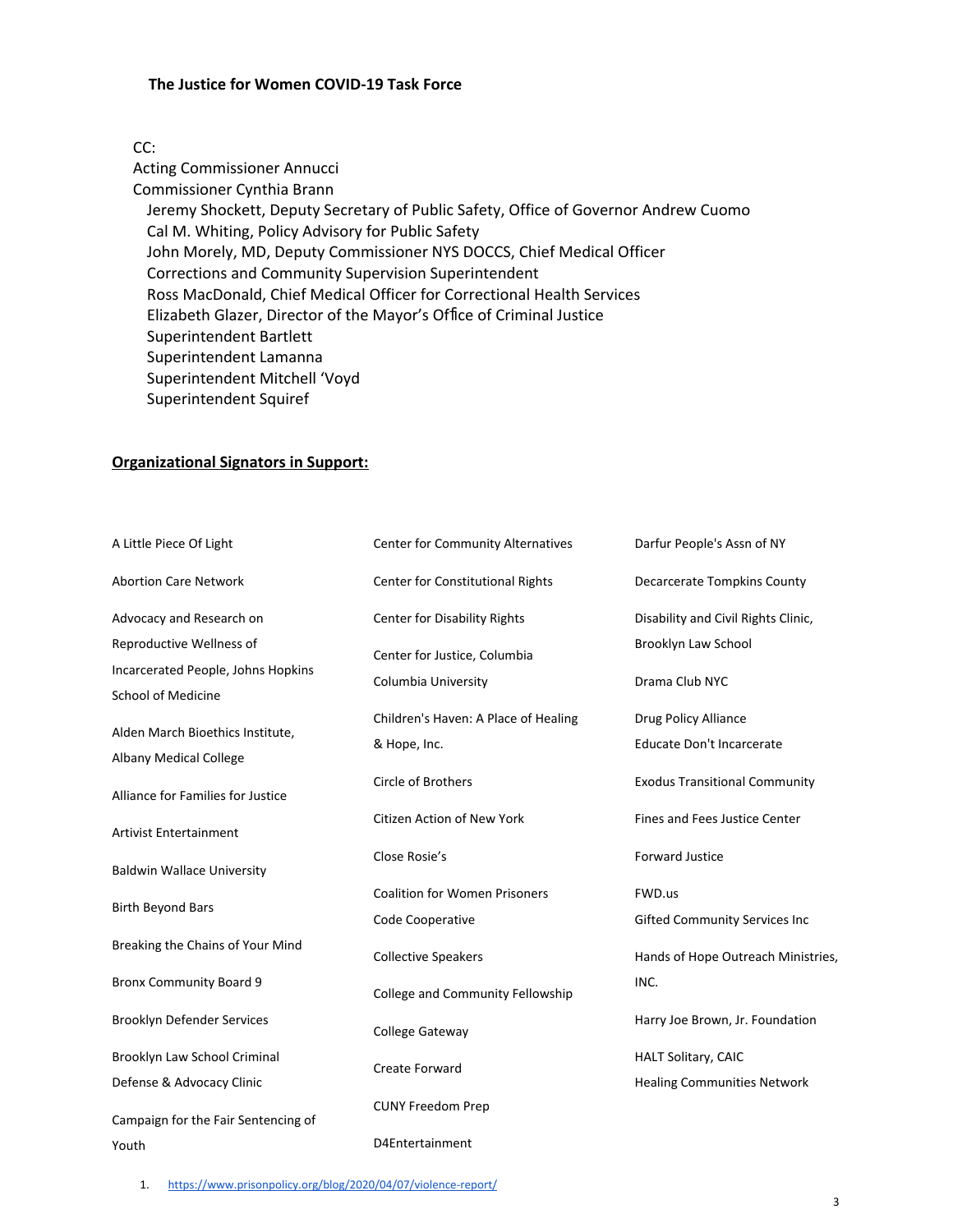### **The Justice for Women COVID-19 Task Force**

### CC:

Acting Commissioner Annucci Commissioner Cynthia Brann Jeremy Shockett, Deputy Secretary of Public Safety, Office of Governor Andrew Cuomo Cal M. Whiting, Policy Advisory for Public Safety John Morely, MD, Deputy Commissioner NYS DOCCS, Chief Medical Officer Corrections and Community Supervision Superintendent Ross MacDonald, Chief Medical Officer for Correctional Health Services Elizabeth Glazer, Director of the Mayor's Office of Criminal Justice Superintendent Bartlett Superintendent Lamanna Superintendent Mitchell 'Voyd Superintendent Squiref

### **Organizational Signators in Support:**

| A Little Piece Of Light             | Center for Community Alternatives    | Darfur People's Assn of NY           |
|-------------------------------------|--------------------------------------|--------------------------------------|
| <b>Abortion Care Network</b>        | Center for Constitutional Rights     | <b>Decarcerate Tompkins County</b>   |
| Advocacy and Research on            | <b>Center for Disability Rights</b>  | Disability and Civil Rights Clinic,  |
| Reproductive Wellness of            | Center for Justice, Columbia         | Brooklyn Law School                  |
| Incarcerated People, Johns Hopkins  | Columbia University                  | Drama Club NYC                       |
| <b>School of Medicine</b>           |                                      |                                      |
| Alden March Bioethics Institute,    | Children's Haven: A Place of Healing | Drug Policy Alliance                 |
| <b>Albany Medical College</b>       | & Hope, Inc.                         | Educate Don't Incarcerate            |
| Alliance for Families for Justice   | <b>Circle of Brothers</b>            | <b>Exodus Transitional Community</b> |
| <b>Artivist Entertainment</b>       | <b>Citizen Action of New York</b>    | <b>Fines and Fees Justice Center</b> |
| <b>Baldwin Wallace University</b>   | Close Rosie's                        | <b>Forward Justice</b>               |
| <b>Birth Beyond Bars</b>            | <b>Coalition for Women Prisoners</b> | FWD.us                               |
|                                     | Code Cooperative                     | <b>Gifted Community Services Inc</b> |
| Breaking the Chains of Your Mind    | <b>Collective Speakers</b>           | Hands of Hope Outreach Ministries,   |
| <b>Bronx Community Board 9</b>      | College and Community Fellowship     | INC.                                 |
| <b>Brooklyn Defender Services</b>   | <b>College Gateway</b>               | Harry Joe Brown, Jr. Foundation      |
| Brooklyn Law School Criminal        | Create Forward                       | HALT Solitary, CAIC                  |
| Defense & Advocacy Clinic           |                                      | <b>Healing Communities Network</b>   |
| Campaign for the Fair Sentencing of | <b>CUNY Freedom Prep</b>             |                                      |
| Youth                               | D4Entertainment                      |                                      |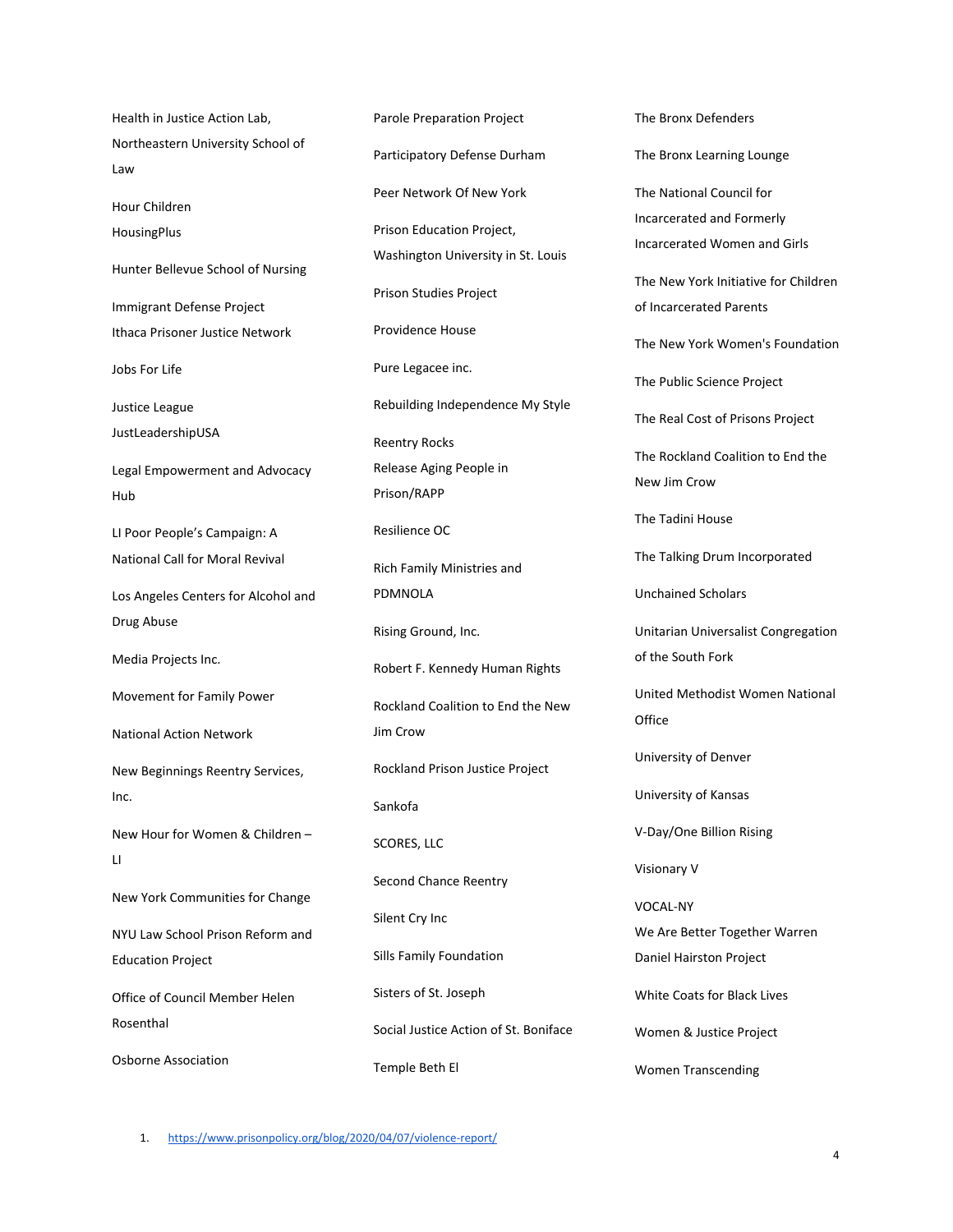Health in Justice Action Lab, Northeastern University School of Law Hour Children HousingPlus Hunter Bellevue School of Nursing Immigrant Defense Project Ithaca Prisoner Justice Network Jobs For Life Justice League JustLeadershipUSA Legal Empowerment and Advocacy Hub LI Poor People's Campaign: A National Call for Moral Revival Los Angeles Centers for Alcohol and Drug Abuse Media Projects Inc. Movement for Family Power National Action Network New Beginnings Reentry Services, Inc. New Hour for Women & Children –  $\mathbf{L}$ New York Communities for Change NYU Law School Prison Reform and Education Project Office of Council Member Helen Rosenthal Osborne Association

Parole Preparation Project Participatory Defense Durham Peer Network Of New York Prison Education Project, Washington University in St. Louis Prison Studies Project Providence House Pure Legacee inc. Rebuilding Independence My Style Reentry Rocks Release Aging People in Prison/RAPP Resilience OC Rich Family Ministries and PDMNOLA Rising Ground, Inc. Robert F. Kennedy Human Rights Rockland Coalition to End the New Jim Crow Rockland Prison Justice Project Sankofa SCORES, LLC Second Chance Reentry Silent Cry Inc Sills Family Foundation Sisters of St. Joseph Social Justice Action of St. Boniface Temple Beth El

The Bronx Defenders The Bronx Learning Lounge The National Council for Incarcerated and Formerly Incarcerated Women and Girls The New York Initiative for Children of Incarcerated Parents The New York Women's Foundation The Public Science Project The Real Cost of Prisons Project The Rockland Coalition to End the New Jim Crow The Tadini House The Talking Drum Incorporated Unchained Scholars Unitarian Universalist Congregation of the South Fork United Methodist Women National **Office** University of Denver University of Kansas V-Day/One Billion Rising Visionary V VOCAL-NY We Are Better Together Warren Daniel Hairston Project White Coats for Black Lives Women & Justice Project Women Transcending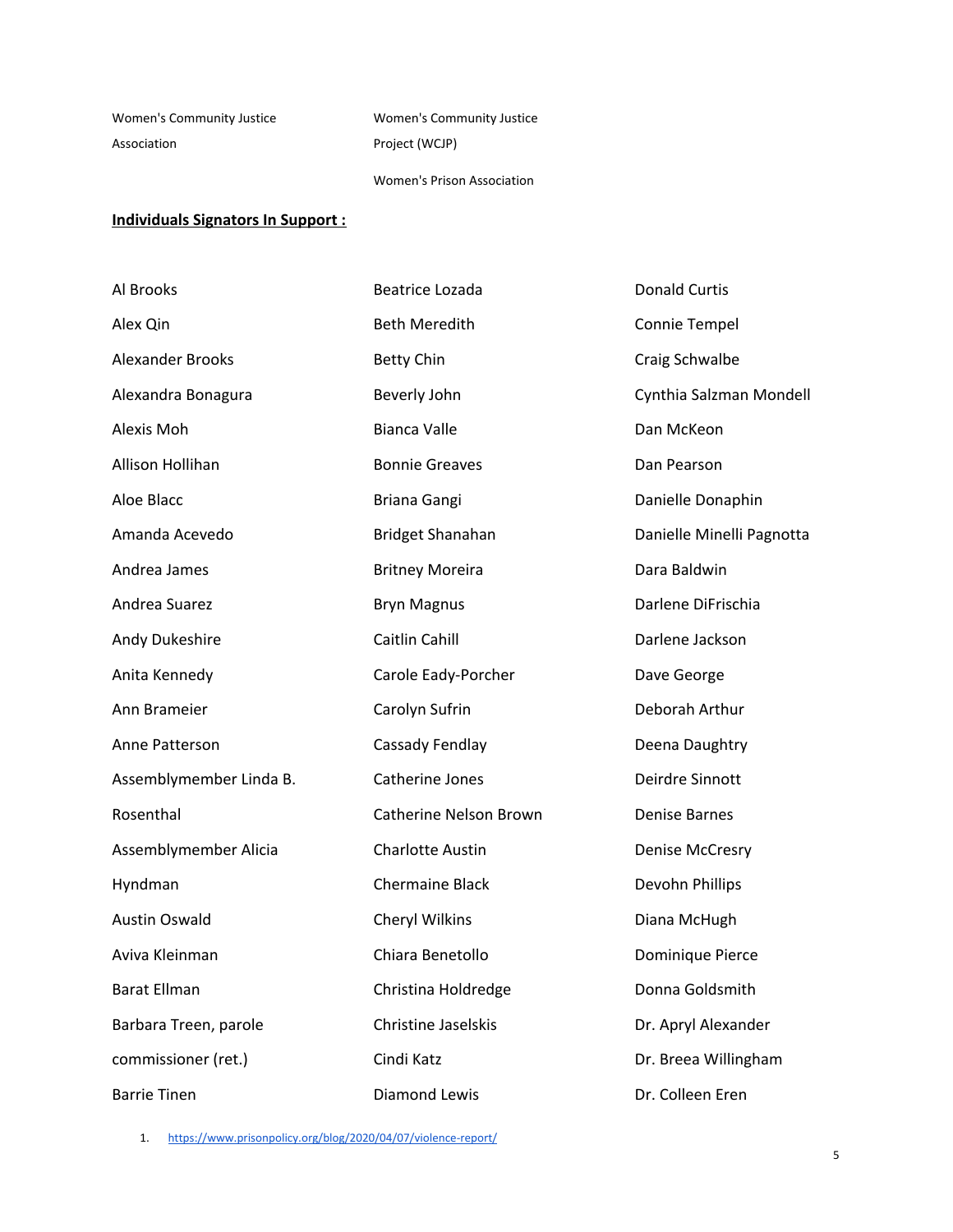Women's Community Justice Association

Women's Community Justice Project (WCJP)

Women's Prison Association

## **Individuals Signators In Support :**

| Al Brooks               | <b>Beatrice Lozada</b>        | <b>Donald Curtis</b>      |
|-------------------------|-------------------------------|---------------------------|
| Alex Qin                | <b>Beth Meredith</b>          | Connie Tempel             |
| <b>Alexander Brooks</b> | <b>Betty Chin</b>             | Craig Schwalbe            |
| Alexandra Bonagura      | Beverly John                  | Cynthia Salzman Mondell   |
| Alexis Moh              | <b>Bianca Valle</b>           | Dan McKeon                |
| Allison Hollihan        | <b>Bonnie Greaves</b>         | Dan Pearson               |
| Aloe Blacc              | Briana Gangi                  | Danielle Donaphin         |
| Amanda Acevedo          | <b>Bridget Shanahan</b>       | Danielle Minelli Pagnotta |
| Andrea James            | <b>Britney Moreira</b>        | Dara Baldwin              |
| Andrea Suarez           | <b>Bryn Magnus</b>            | Darlene DiFrischia        |
| Andy Dukeshire          | Caitlin Cahill                | Darlene Jackson           |
| Anita Kennedy           | Carole Eady-Porcher           | Dave George               |
| Ann Brameier            | Carolyn Sufrin                | Deborah Arthur            |
| Anne Patterson          | Cassady Fendlay               | Deena Daughtry            |
| Assemblymember Linda B. | Catherine Jones               | Deirdre Sinnott           |
| Rosenthal               | <b>Catherine Nelson Brown</b> | <b>Denise Barnes</b>      |
| Assemblymember Alicia   | <b>Charlotte Austin</b>       | <b>Denise McCresry</b>    |
| Hyndman                 | <b>Chermaine Black</b>        | Devohn Phillips           |
| <b>Austin Oswald</b>    | Cheryl Wilkins                | Diana McHugh              |
| Aviva Kleinman          | Chiara Benetollo              | Dominique Pierce          |
| <b>Barat Ellman</b>     | Christina Holdredge           | Donna Goldsmith           |
| Barbara Treen, parole   | <b>Christine Jaselskis</b>    | Dr. Apryl Alexander       |
| commissioner (ret.)     | Cindi Katz                    | Dr. Breea Willingham      |
| <b>Barrie Tinen</b>     | <b>Diamond Lewis</b>          | Dr. Colleen Eren          |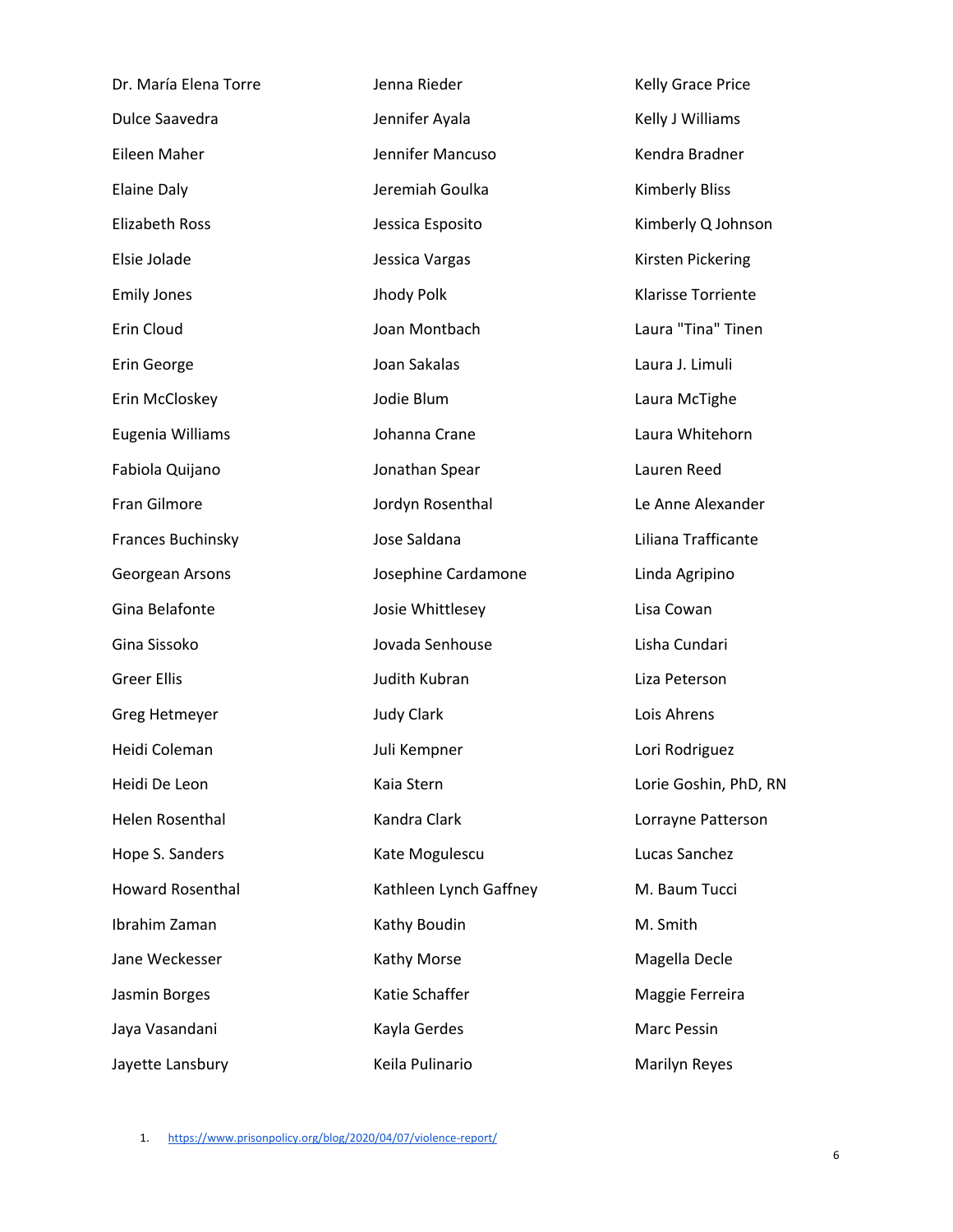| Dr. María Elena Torre   | Jenna Rieder           | Kelly Grace Price         |
|-------------------------|------------------------|---------------------------|
| Dulce Saavedra          | Jennifer Ayala         | Kelly J Williams          |
| Eileen Maher            | Jennifer Mancuso       | Kendra Bradner            |
| <b>Elaine Daly</b>      | Jeremiah Goulka        | <b>Kimberly Bliss</b>     |
| <b>Elizabeth Ross</b>   | Jessica Esposito       | Kimberly Q Johnson        |
| Elsie Jolade            | Jessica Vargas         | Kirsten Pickering         |
| <b>Emily Jones</b>      | Jhody Polk             | <b>Klarisse Torriente</b> |
| Erin Cloud              | Joan Montbach          | Laura "Tina" Tinen        |
| Erin George             | Joan Sakalas           | Laura J. Limuli           |
| Erin McCloskey          | Jodie Blum             | Laura McTighe             |
| Eugenia Williams        | Johanna Crane          | Laura Whitehorn           |
| Fabiola Quijano         | Jonathan Spear         | Lauren Reed               |
| Fran Gilmore            | Jordyn Rosenthal       | Le Anne Alexander         |
| Frances Buchinsky       | Jose Saldana           | Liliana Trafficante       |
| Georgean Arsons         | Josephine Cardamone    | Linda Agripino            |
| Gina Belafonte          | Josie Whittlesey       | Lisa Cowan                |
| Gina Sissoko            | Jovada Senhouse        | Lisha Cundari             |
| <b>Greer Ellis</b>      | Judith Kubran          | Liza Peterson             |
| Greg Hetmeyer           | <b>Judy Clark</b>      | Lois Ahrens               |
| Heidi Coleman           | Juli Kempner           | Lori Rodriguez            |
| Heidi De Leon           | Kaia Stern             | Lorie Goshin, PhD, RN     |
| Helen Rosenthal         | Kandra Clark           | Lorrayne Patterson        |
| Hope S. Sanders         | Kate Mogulescu         | Lucas Sanchez             |
| <b>Howard Rosenthal</b> | Kathleen Lynch Gaffney | M. Baum Tucci             |
| Ibrahim Zaman           | Kathy Boudin           | M. Smith                  |
| Jane Weckesser          | Kathy Morse            | Magella Decle             |
| Jasmin Borges           | Katie Schaffer         | Maggie Ferreira           |
| Jaya Vasandani          | Kayla Gerdes           | Marc Pessin               |
| Jayette Lansbury        | Keila Pulinario        | Marilyn Reyes             |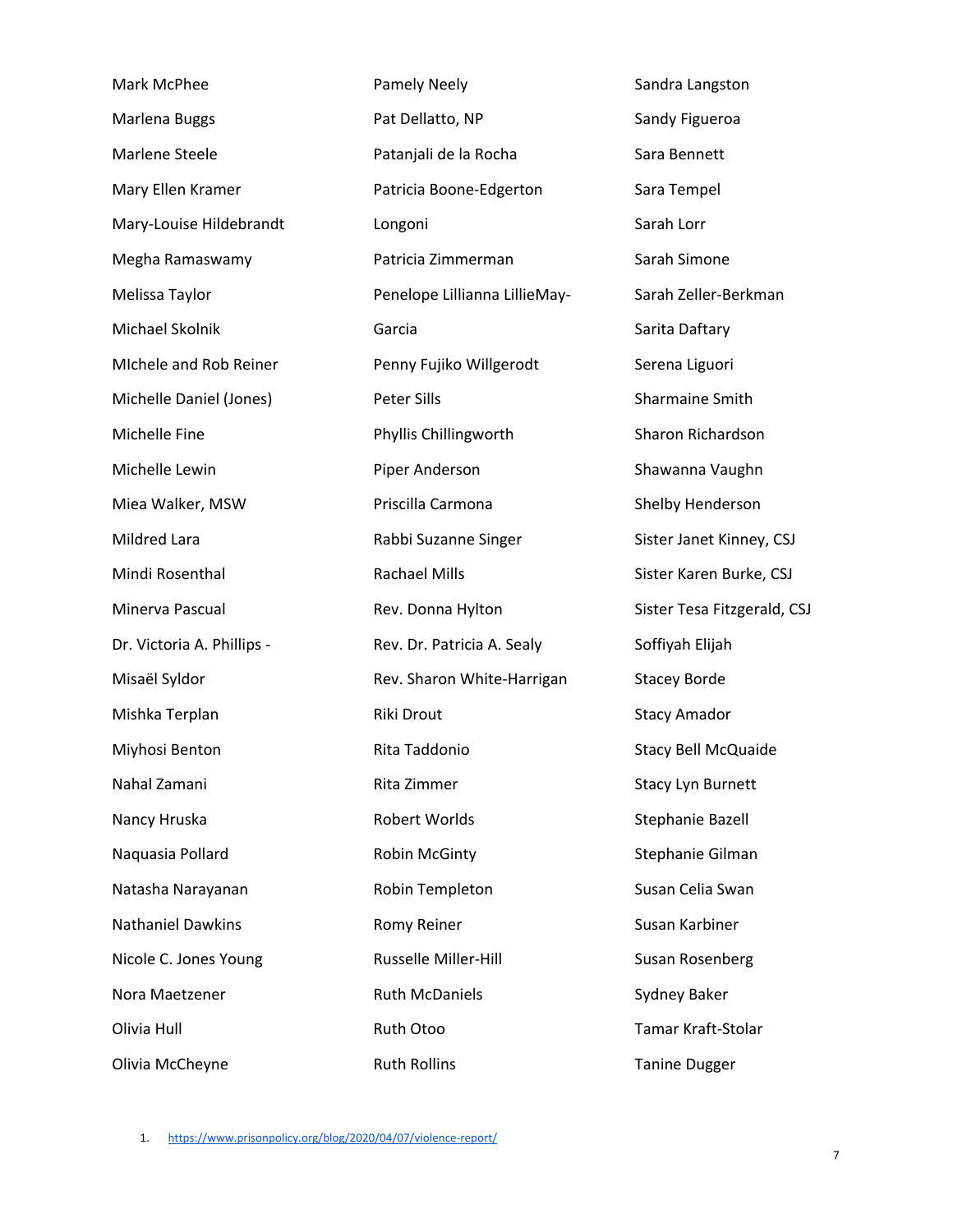| Mark McPhee                | <b>Pamely Neely</b>           | Sandra Langston             |
|----------------------------|-------------------------------|-----------------------------|
| Marlena Buggs              | Pat Dellatto, NP              | Sandy Figueroa              |
| Marlene Steele             | Patanjali de la Rocha         | Sara Bennett                |
| Mary Ellen Kramer          | Patricia Boone-Edgerton       | Sara Tempel                 |
| Mary-Louise Hildebrandt    | Longoni                       | Sarah Lorr                  |
| Megha Ramaswamy            | Patricia Zimmerman            | Sarah Simone                |
| Melissa Taylor             | Penelope Lillianna LillieMay- | Sarah Zeller-Berkman        |
| Michael Skolnik            | Garcia                        | Sarita Daftary              |
| Michele and Rob Reiner     | Penny Fujiko Willgerodt       | Serena Liguori              |
| Michelle Daniel (Jones)    | Peter Sills                   | Sharmaine Smith             |
| Michelle Fine              | Phyllis Chillingworth         | Sharon Richardson           |
| Michelle Lewin             | Piper Anderson                | Shawanna Vaughn             |
| Miea Walker, MSW           | Priscilla Carmona             | Shelby Henderson            |
| Mildred Lara               | Rabbi Suzanne Singer          | Sister Janet Kinney, CSJ    |
| Mindi Rosenthal            | <b>Rachael Mills</b>          | Sister Karen Burke, CSJ     |
| Minerva Pascual            | Rev. Donna Hylton             | Sister Tesa Fitzgerald, CSJ |
| Dr. Victoria A. Phillips - | Rev. Dr. Patricia A. Sealy    | Soffiyah Elijah             |
| Misaël Syldor              | Rev. Sharon White-Harrigan    | <b>Stacey Borde</b>         |
| Mishka Terplan             | Riki Drout                    | <b>Stacy Amador</b>         |
| Miyhosi Benton             | Rita Taddonio                 | <b>Stacy Bell McQuaide</b>  |
| Nahal Zamani               | Rita Zimmer                   | <b>Stacy Lyn Burnett</b>    |
| Nancy Hruska               | Robert Worlds                 | Stephanie Bazell            |
| Naquasia Pollard           | Robin McGinty                 | Stephanie Gilman            |
| Natasha Narayanan          | Robin Templeton               | Susan Celia Swan            |
| <b>Nathaniel Dawkins</b>   | Romy Reiner                   | Susan Karbiner              |
| Nicole C. Jones Young      | Russelle Miller-Hill          | Susan Rosenberg             |
| Nora Maetzener             | <b>Ruth McDaniels</b>         | Sydney Baker                |
| Olivia Hull                | Ruth Otoo                     | Tamar Kraft-Stolar          |
| Olivia McCheyne            | <b>Ruth Rollins</b>           | <b>Tanine Dugger</b>        |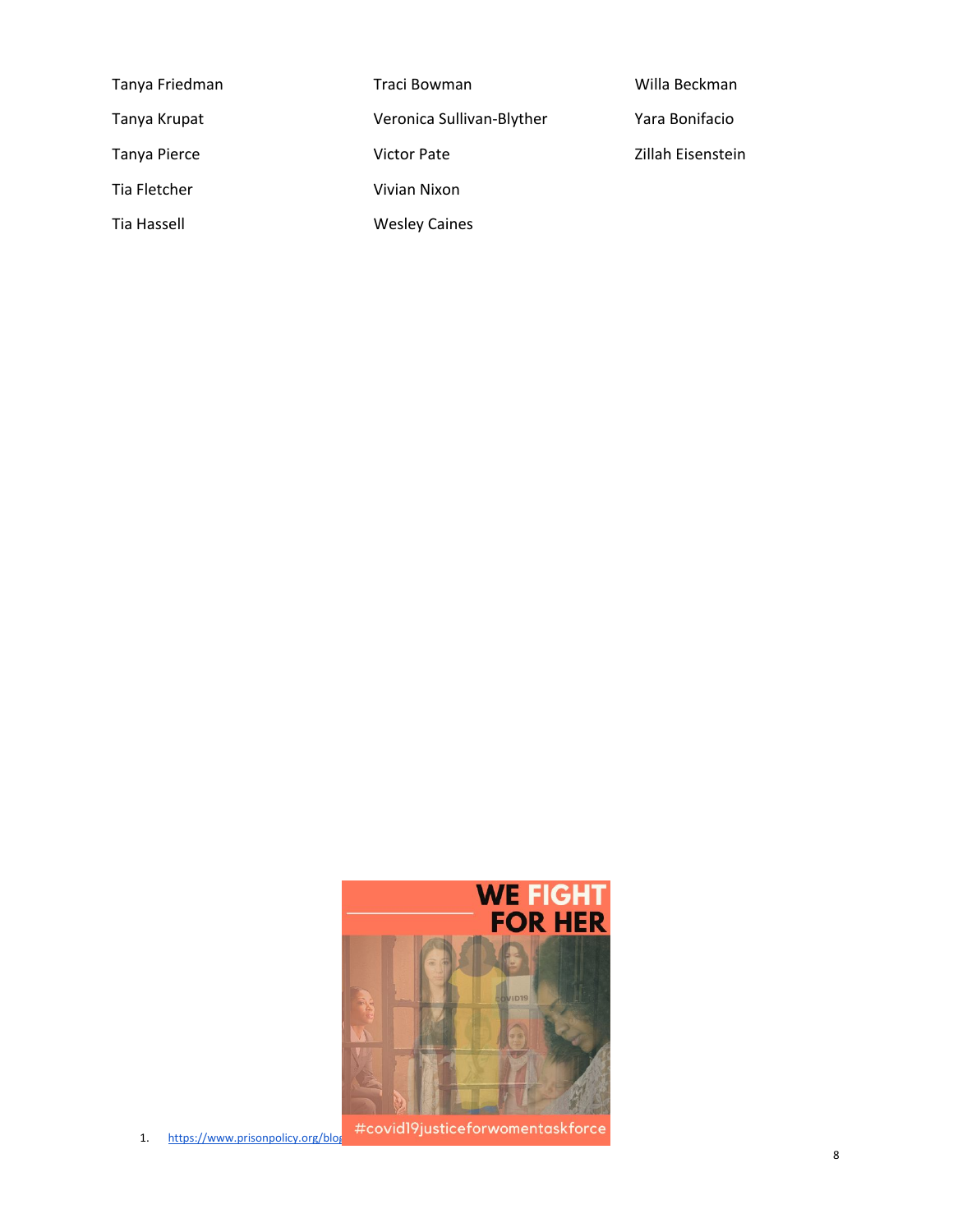| Tanya Friedman | Traci Bowman              | Willa Beckman     |
|----------------|---------------------------|-------------------|
| Tanya Krupat   | Veronica Sullivan-Blyther | Yara Bonifacio    |
| Tanya Pierce   | Victor Pate               | Zillah Eisenstein |
| Tia Fletcher   | Vivian Nixon              |                   |
| Tia Hassell    | <b>Wesley Caines</b>      |                   |